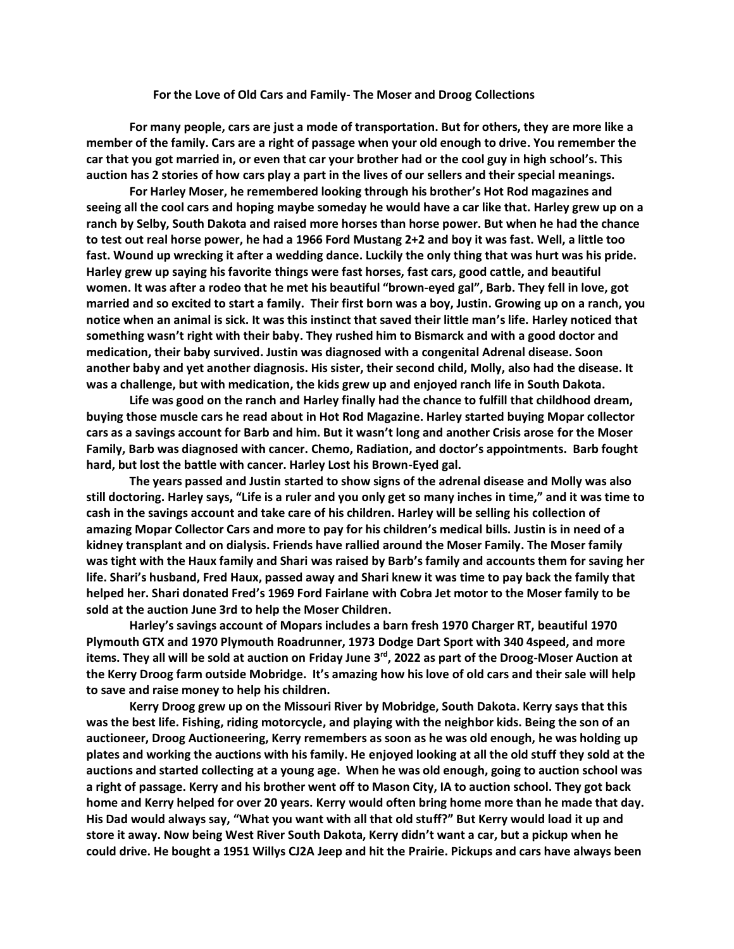## **For the Love of Old Cars and Family- The Moser and Droog Collections**

**For many people, cars are just a mode of transportation. But for others, they are more like a member of the family. Cars are a right of passage when your old enough to drive. You remember the car that you got married in, or even that car your brother had or the cool guy in high school's. This auction has 2 stories of how cars play a part in the lives of our sellers and their special meanings.** 

**For Harley Moser, he remembered looking through his brother's Hot Rod magazines and seeing all the cool cars and hoping maybe someday he would have a car like that. Harley grew up on a ranch by Selby, South Dakota and raised more horses than horse power. But when he had the chance to test out real horse power, he had a 1966 Ford Mustang 2+2 and boy it was fast. Well, a little too fast. Wound up wrecking it after a wedding dance. Luckily the only thing that was hurt was his pride. Harley grew up saying his favorite things were fast horses, fast cars, good cattle, and beautiful women. It was after a rodeo that he met his beautiful "brown-eyed gal", Barb. They fell in love, got married and so excited to start a family. Their first born was a boy, Justin. Growing up on a ranch, you notice when an animal is sick. It was this instinct that saved their little man's life. Harley noticed that something wasn't right with their baby. They rushed him to Bismarck and with a good doctor and medication, their baby survived. Justin was diagnosed with a congenital Adrenal disease. Soon another baby and yet another diagnosis. His sister, their second child, Molly, also had the disease. It was a challenge, but with medication, the kids grew up and enjoyed ranch life in South Dakota.** 

**Life was good on the ranch and Harley finally had the chance to fulfill that childhood dream, buying those muscle cars he read about in Hot Rod Magazine. Harley started buying Mopar collector cars as a savings account for Barb and him. But it wasn't long and another Crisis arose for the Moser Family, Barb was diagnosed with cancer. Chemo, Radiation, and doctor's appointments. Barb fought hard, but lost the battle with cancer. Harley Lost his Brown-Eyed gal.** 

**The years passed and Justin started to show signs of the adrenal disease and Molly was also still doctoring. Harley says, "Life is a ruler and you only get so many inches in time," and it was time to cash in the savings account and take care of his children. Harley will be selling his collection of amazing Mopar Collector Cars and more to pay for his children's medical bills. Justin is in need of a kidney transplant and on dialysis. Friends have rallied around the Moser Family. The Moser family was tight with the Haux family and Shari was raised by Barb's family and accounts them for saving her life. Shari's husband, Fred Haux, passed away and Shari knew it was time to pay back the family that helped her. Shari donated Fred's 1969 Ford Fairlane with Cobra Jet motor to the Moser family to be sold at the auction June 3rd to help the Moser Children.**

**Harley's savings account of Mopars includes a barn fresh 1970 Charger RT, beautiful 1970 Plymouth GTX and 1970 Plymouth Roadrunner, 1973 Dodge Dart Sport with 340 4speed, and more items. They all will be sold at auction on Friday June 3rd, 2022 as part of the Droog-Moser Auction at the Kerry Droog farm outside Mobridge. It's amazing how his love of old cars and their sale will help to save and raise money to help his children.** 

**Kerry Droog grew up on the Missouri River by Mobridge, South Dakota. Kerry says that this was the best life. Fishing, riding motorcycle, and playing with the neighbor kids. Being the son of an auctioneer, Droog Auctioneering, Kerry remembers as soon as he was old enough, he was holding up plates and working the auctions with his family. He enjoyed looking at all the old stuff they sold at the auctions and started collecting at a young age. When he was old enough, going to auction school was a right of passage. Kerry and his brother went off to Mason City, IA to auction school. They got back home and Kerry helped for over 20 years. Kerry would often bring home more than he made that day. His Dad would always say, "What you want with all that old stuff?" But Kerry would load it up and store it away. Now being West River South Dakota, Kerry didn't want a car, but a pickup when he could drive. He bought a 1951 Willys CJ2A Jeep and hit the Prairie. Pickups and cars have always been**